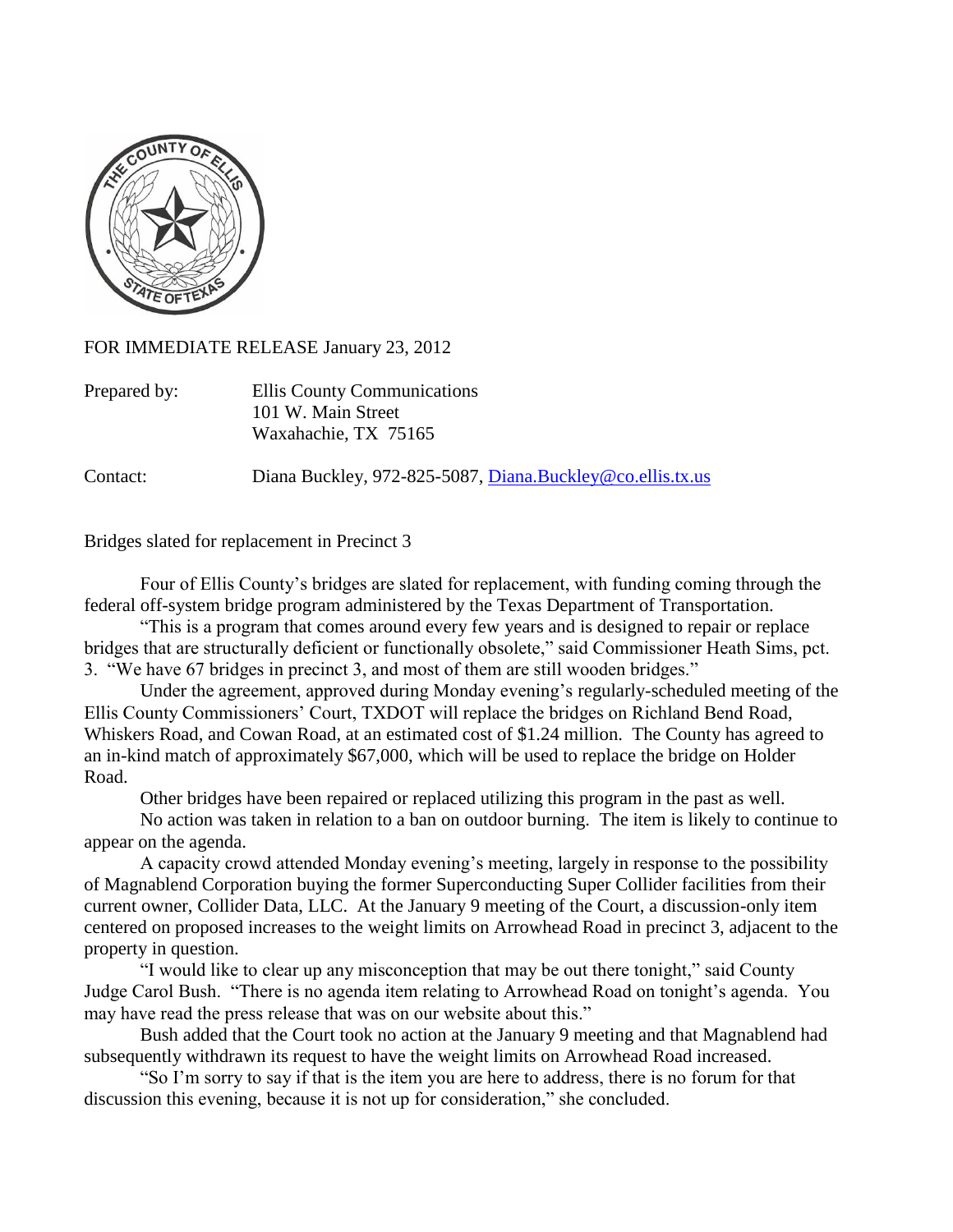

FOR IMMEDIATE RELEASE January 23, 2012

| Ellis County Communications |
|-----------------------------|
| 101 W. Main Street          |
| Waxahachie, TX 75165        |
|                             |

Contact: Diana Buckley, 972-825-5087, [Diana.Buckley@co.ellis.tx.us](mailto:Diana.Buckley@co.ellis.tx.us)

Bridges slated for replacement in Precinct 3

Four of Ellis County's bridges are slated for replacement, with funding coming through the federal off-system bridge program administered by the Texas Department of Transportation.

"This is a program that comes around every few years and is designed to repair or replace bridges that are structurally deficient or functionally obsolete," said Commissioner Heath Sims, pct. 3. "We have 67 bridges in precinct 3, and most of them are still wooden bridges."

Under the agreement, approved during Monday evening's regularly-scheduled meeting of the Ellis County Commissioners' Court, TXDOT will replace the bridges on Richland Bend Road, Whiskers Road, and Cowan Road, at an estimated cost of \$1.24 million. The County has agreed to an in-kind match of approximately \$67,000, which will be used to replace the bridge on Holder Road.

Other bridges have been repaired or replaced utilizing this program in the past as well.

No action was taken in relation to a ban on outdoor burning. The item is likely to continue to appear on the agenda.

A capacity crowd attended Monday evening's meeting, largely in response to the possibility of Magnablend Corporation buying the former Superconducting Super Collider facilities from their current owner, Collider Data, LLC. At the January 9 meeting of the Court, a discussion-only item centered on proposed increases to the weight limits on Arrowhead Road in precinct 3, adjacent to the property in question.

"I would like to clear up any misconception that may be out there tonight," said County Judge Carol Bush. "There is no agenda item relating to Arrowhead Road on tonight's agenda. You may have read the press release that was on our website about this."

Bush added that the Court took no action at the January 9 meeting and that Magnablend had subsequently withdrawn its request to have the weight limits on Arrowhead Road increased.

"So I'm sorry to say if that is the item you are here to address, there is no forum for that discussion this evening, because it is not up for consideration," she concluded.